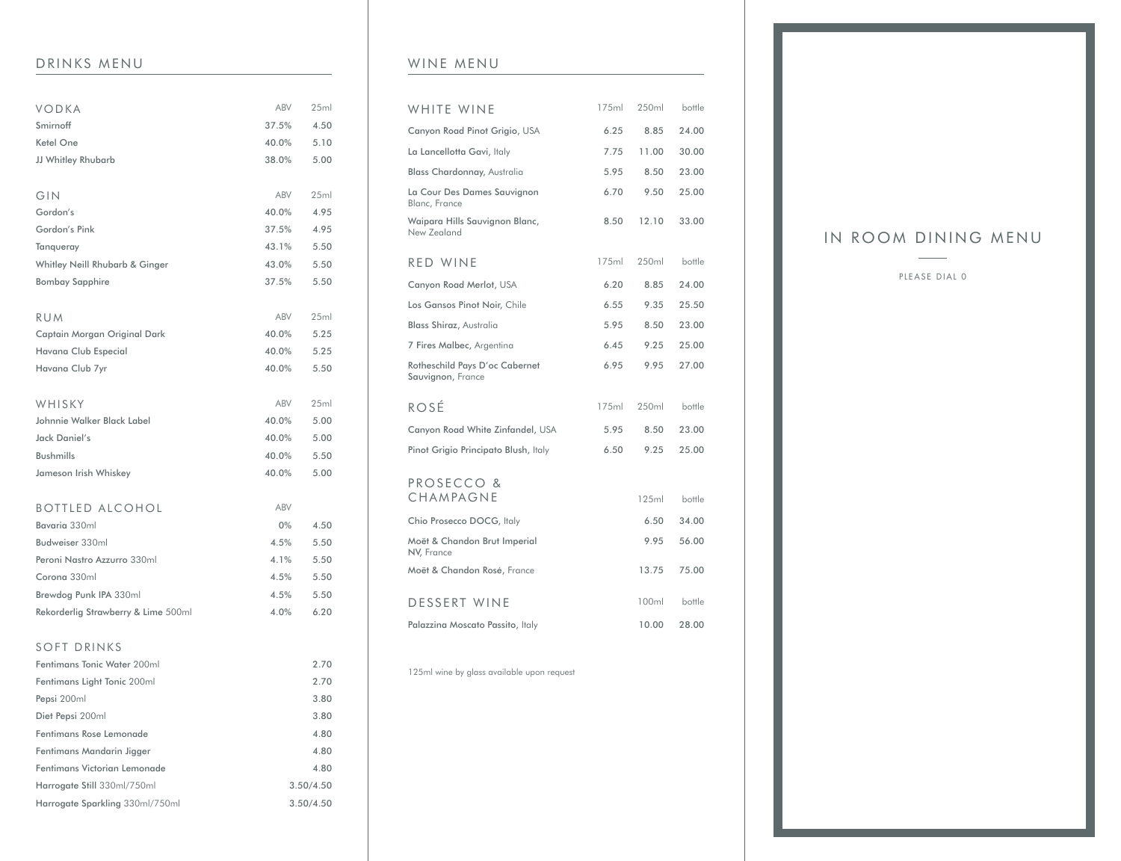## DRINKS MENU

| VODKA                                                     | <b>ABV</b>             | 25ml |  |
|-----------------------------------------------------------|------------------------|------|--|
| Smirnoff                                                  | 37.5%                  | 4.50 |  |
| Ketel One                                                 | 40.0%                  | 5.10 |  |
| JJ Whitley Rhubarb                                        | 38.0%                  | 5.00 |  |
|                                                           |                        |      |  |
| GIN                                                       | ABV                    | 25ml |  |
| Gordon's                                                  | 40.0%                  | 4.95 |  |
| Gordon's Pink                                             | 37.5%                  | 4.95 |  |
| Tanqueray                                                 | 43.1%                  | 5.50 |  |
| <b>Whitley Neill Rhubarb &amp; Ginger</b>                 | 43.0%                  | 5.50 |  |
| <b>Bombay Sapphire</b>                                    | 37.5%                  | 5.50 |  |
|                                                           |                        |      |  |
| RUM                                                       | <b>ABV</b>             | 25ml |  |
| Captain Morgan Original Dark                              | 40.0%                  | 5.25 |  |
| Havana Club Especial                                      | 40.0%                  | 5.25 |  |
| Havana Club 7yr                                           | 40.0%                  | 5.50 |  |
|                                                           |                        |      |  |
| WHISKY                                                    | ABV                    | 25ml |  |
| Johnnie Walker Black Label                                | 40.0%                  | 5.00 |  |
| Jack Daniel's                                             | 40.0%                  | 5.00 |  |
| <b>Bushmills</b>                                          | 40.0%                  | 5.50 |  |
| Jameson Irish Whiskey                                     | 40.0%                  | 5.00 |  |
|                                                           |                        |      |  |
| <b>BOTTLED ALCOHOL</b>                                    | ABV                    |      |  |
| Bavaria 330ml                                             | $0\%$                  | 4.50 |  |
| Budweiser 330ml                                           | 4.5%                   | 5.50 |  |
| Peroni Nastro Azzurro 330ml                               | 4.1%                   | 5.50 |  |
| Corona 330ml                                              | 4.5%                   | 5.50 |  |
| Brewdog Punk IPA 330ml                                    | 4.5%                   | 5.50 |  |
| Rekorderlig Strawberry & Lime 500ml                       | 4.0%                   | 6.20 |  |
|                                                           |                        |      |  |
| <b>SOFT DRINKS</b><br>Fentimans Tonic Water 200ml         |                        | 2.70 |  |
|                                                           |                        | 2.70 |  |
| Fentimans Light Tonic 200ml<br>Pepsi 200ml                |                        | 3.80 |  |
| Diet Pepsi 200ml                                          |                        | 3.80 |  |
| Fentimans Rose Lemonade                                   |                        | 4.80 |  |
|                                                           |                        | 4.80 |  |
| Fentimans Mandarin Jigger<br>Fentimans Victorian Lemonade |                        | 4.80 |  |
| Harrogate Still 330ml/750ml                               |                        |      |  |
| Harrogate Sparkling 330ml/750ml                           | 3.50/4.50<br>3.50/4.50 |      |  |
|                                                           |                        |      |  |

## WINE MENU

| WHITE WINE                                          | 175ml | 250ml | bottle |  |
|-----------------------------------------------------|-------|-------|--------|--|
| Canyon Road Pinot Grigio, USA                       | 6.25  | 8.85  | 24.00  |  |
| La Lancellotta Gavi, Italy                          | 7.75  | 11.00 | 30.00  |  |
| Blass Chardonnay, Australia                         | 5.95  | 8.50  | 23.00  |  |
| La Cour Des Dames Sauvignon<br>Blanc, France        | 6.70  | 9.50  | 25.00  |  |
| Waipara Hills Sauvignon Blanc,<br>New Zealand       | 8.50  | 12.10 | 33.00  |  |
| RED WINE                                            | 175ml | 250ml | bottle |  |
| Canyon Road Merlot, USA                             | 6.20  | 8.85  | 24.00  |  |
| Los Gansos Pinot Noir, Chile                        | 6.55  | 9.35  | 25.50  |  |
| <b>Blass Shiraz, Australia</b>                      | 5.95  | 8.50  | 23.00  |  |
| 7 Fires Malbec, Argentina                           | 6.45  | 9.25  | 25.00  |  |
| Rotheschild Pays D'oc Cabernet<br>Sauvignon, France | 6.95  | 9.95  | 27.00  |  |
| ROSÉ                                                | 175ml | 250ml | bottle |  |
| Canyon Road White Zinfandel, USA                    | 5.95  | 8.50  | 23.00  |  |
| Pinot Grigio Principato Blush, Italy                | 6.50  | 9.25  | 25.00  |  |
| PROSECCO &<br>CHAMPAGNE                             |       | 125ml | bottle |  |
| Chio Prosecco DOCG, Italy                           |       | 6.50  | 34.00  |  |
| Moët & Chandon Brut Imperial<br>NV, France          |       | 9.95  | 56.00  |  |
| Moët & Chandon Rosé, France                         |       | 13.75 | 75.00  |  |
| <b>DESSERT WINE</b>                                 |       | 100ml | bottle |  |
| Palazzina Moscato Passito, Italy                    |       | 10.00 | 28.00  |  |

125ml wine by glass available upon request

# IN ROOM DINING MENU

PLEASE DIAL 0